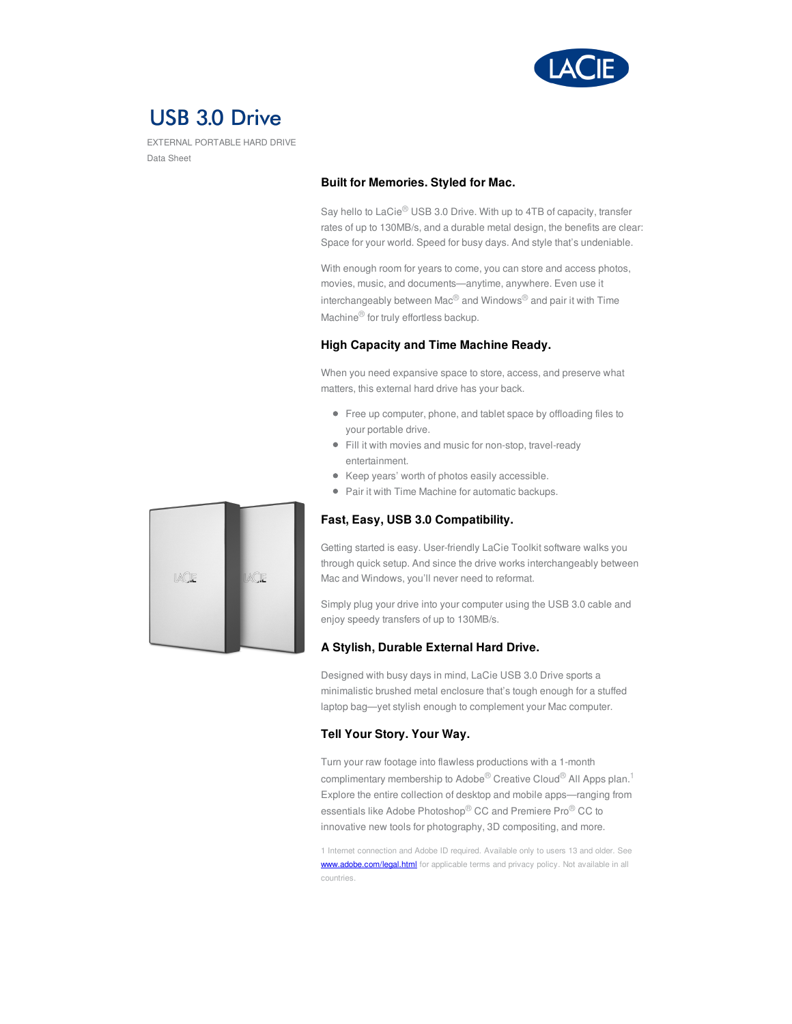

# **USB 3.0 Drive**

EXTERNAL PORTABLE HARD DRIVE Data Sheet

#### **Built for Memories. Styled for Mac.**

Say hello to LaCie® USB 3.0 Drive. With up to 4TB of capacity, transfer rates of up to 130MB/s, and a durable metal design, the benefits are clear: Space for your world. Speed for busy days. And style that's undeniable.

With enough room for years to come, you can store and access photos, movies, music, and documents—anytime, anywhere. Even use it interchangeably between Mac® and Windows® and pair it with Time Machine® for truly effortless backup.

### **High Capacity and Time Machine Ready.**

When you need expansive space to store, access, and preserve what matters, this external hard drive has your back.

- Free up computer, phone, and tablet space by offloading files to your portable drive.
- Fill it with movies and music for non-stop, travel-ready entertainment.
- Keep years' worth of photos easily accessible.
- Pair it with Time Machine for automatic backups.

## **Fast, Easy, USB 3.0 Compatibility.**

Getting started is easy. User-friendly LaCie Toolkit software walks you through quick setup. And since the drive works interchangeably between Mac and Windows, you'll never need to reformat.

Simply plug your drive into your computer using the USB 3.0 cable and enjoy speedy transfers of up to 130MB/s.

### **A Stylish, Durable External Hard Drive.**

Designed with busy days in mind, LaCie USB 3.0 Drive sports a minimalistic brushed metal enclosure that's tough enough for a stuffed laptop bag—yet stylish enough to complement your Mac computer.

### **Tell Your Story. Your Way.**

Turn your raw footage into flawless productions with a 1-month complimentary membership to Adobe® Creative Cloud® All Apps plan.<sup>1</sup> Explore the entire collection of desktop and mobile apps—ranging from essentials like Adobe Photoshop® CC and Premiere Pro® CC to innovative new tools for photography, 3D compositing, and more.

1 Internet connection and Adobe ID required. Available only to users 13 and older. See [www.adobe.com/legal.html](https://www.adobe.com/legal.html) for applicable terms and privacy policy. Not available in all countries.